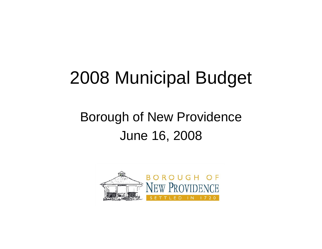# 2008 Municipal Budget

#### Borough of New Providence June 16, 2008

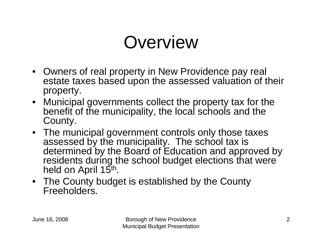# **Overview**

- Owners of real property in New Providence pay real estate taxes based upon the assessed valuation of their property.
- Municipal governments collect the property tax for the benefit of the municipality, the local schools and the County.
- The municipal government controls only those taxes assessed by the municipality. The school tax is determined by the Board of Education and approved by residents during the school budget elections that were held on April 15<sup>th</sup>.
- The County budget is established by the County Freeholders.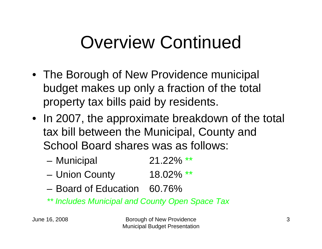# Overview Continued

- The Borough of New Providence municipal budget makes up only a fraction of the total property tax bills paid by residents.
- In 2007, the approximate breakdown of the total tax bill between the Municipal, County and School Board shares was as follows:
	- and the state of the Municipal 21.22% \*\*
	- and the state of the Union County 18.02% \*\*
	- Board of Education 60.76%
	- *\*\* Includes Municipal and County Open Space Tax*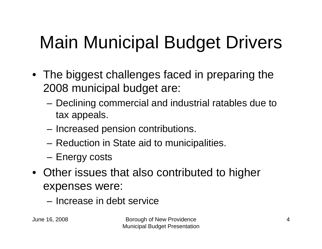# Main Municipal Budget Drivers

- The biggest challenges faced in preparing the 2008 municipal budget are:
	- – Declining commercial and industrial ratables due to tax appeals.
	- and the state of the Increased pension contributions.
	- and the state of the Reduction in State aid to municipalities.
	- and the state of the Energy costs
- Other issues that also contributed to higher expenses were:
	- Increase in debt service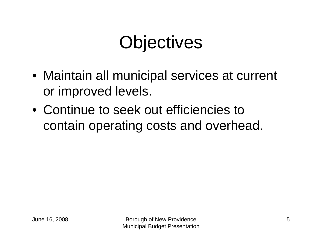# **Objectives**

- Maintain all municipal services at current or improved levels.
- Continue to seek out efficiencies to contain operating costs and overhead.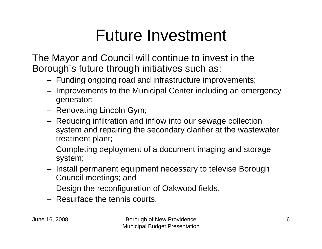### Future Investment

The Mayor and Council will continue to invest in the Borough's future through initiatives such as:

- Funding ongoing road and infrastructure improvements;
- Improvements to the Municipal Center including an emergency generator;
- Renovating Lincoln Gym;
- Reducing infiltration and inflow into our sewage collection system and repairing the secondary clarifier at the wastewater treatment plant;
- Completing deployment of a document imaging and storage system;
- Install permanent equipment necessary to televise Borough Council meetings; and
- Design the reconfiguration of Oakwood fields.
- Resurface the tennis courts.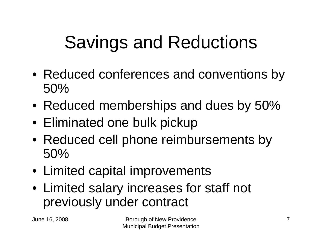# Savings and Reductions

- Reduced conferences and conventions by 50%
- Reduced memberships and dues by 50%
- Eliminated one bulk pickup
- Reduced cell phone reimbursements by 50%
- Limited capital improvements
- Limited salary increases for staff not previously under contract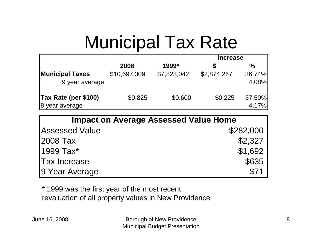# Municipal Tax Rate

|                                          |              |             | <b>Increase</b> |                 |  |
|------------------------------------------|--------------|-------------|-----------------|-----------------|--|
|                                          | 2008         | 1999*       |                 | $\frac{0}{0}$   |  |
| <b>Municipal Taxes</b><br>9 year average | \$10,697,309 | \$7,823,042 | \$2,874,267     | 36.74%<br>4.08% |  |
| Tax Rate (per \$100)<br>8 year average   | \$0.825      | \$0.600     | \$0.225         | 37.50%<br>4.17% |  |

| <b>Impact on Average Assessed Value Home</b> |           |  |  |  |  |
|----------------------------------------------|-----------|--|--|--|--|
| <b>Assessed Value</b>                        | \$282,000 |  |  |  |  |
| <b>2008 Tax</b>                              | \$2,327   |  |  |  |  |
| 1999 Tax*                                    | \$1,692   |  |  |  |  |
| <b>Tax Increase</b>                          | \$635     |  |  |  |  |
| 9 Year Average                               | \$71      |  |  |  |  |

\* 1999 was the first year of the most recent revaluation of all property values in New Providence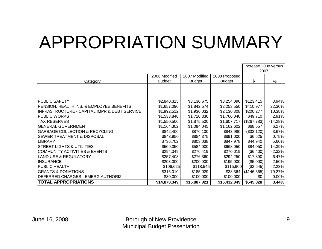# APPROPRIATION SUMMARY

|                                              |               |               |               | Increase 2008 versus |           |
|----------------------------------------------|---------------|---------------|---------------|----------------------|-----------|
|                                              |               |               |               | 2007                 |           |
|                                              | 2006 Modified | 2007 Modified | 2008 Proposed |                      |           |
| Category                                     | <b>Budget</b> | <b>Budget</b> | <b>Budget</b> | \$                   | %         |
|                                              |               |               |               |                      |           |
|                                              |               |               |               |                      |           |
|                                              |               |               |               |                      |           |
| <b>PUBLIC SAFETY</b>                         | \$2,840,315   | \$3,130,675   | \$3,254,090   | \$123,415            | 3.94%     |
| PENSION, HEALTH INS. & EMPLOYEE BENEFITS     | \$1,657,090   | \$1,842,574   | \$2,253,550   | \$410,977            | 22.30%    |
| INFRASTRUCTURE - CAPITAL IMPR & DEBT SERVICE | \$1,992,512   | \$1,930,032   | \$2,130,308   | \$200,277            | 10.38%    |
| <b>PUBLIC WORKS</b>                          | \$1,533,840   | \$1,710,330   | \$1,760,040   | \$49,710             | 2.91%     |
| <b>TAX RESERVES</b>                          | \$1,550,500   | \$1,875,500   | \$1,607,717   | (\$267,783)          | $-14.28%$ |
| <b>GENERAL GOVERNMENT</b>                    | \$1,164,302   | \$1,094,045   | \$1,162,602   | \$68,557             | 6.27%     |
| <b>GARBAGE COLLECTION &amp; RECYCLING</b>    | \$842,400     | \$876,100     | \$843,980     | (\$32,120)           | $-3.67%$  |
| <b>SEWER TREATMENT &amp; DISPOSAL</b>        | \$843,950     | \$884,375     | \$891,000     | \$6,625              | 0.75%     |
| <b>LIBRARY</b>                               | \$736,702     | \$803,038     | \$847,978     | \$44,940             | 5.60%     |
| <b>ISTREET LIGHTS &amp; UTILITIES</b>        | \$509,350     | \$584,000     | \$668,050     | \$84,050             | 14.39%    |
| COMMUNITY ACTIVITIES & EVENTS                | \$294,349     | \$276,419     | \$270,019     | (\$6,400)            | $-2.32%$  |
| <b>LAND USE &amp; REGULATORY</b>             | \$257,403     | \$276,360     | \$294,250     | \$17,890             | 6.47%     |
| <b>INSURANCE</b>                             | \$203,000     | \$200,000     | \$195,000     | (\$5,000)            | $-2.50%$  |
| <b>PUBLIC HEALTH</b>                         | \$106,625     | \$118,545     | \$115,900     | (\$2,645)            | $-2.23%$  |
| <b>GRANTS &amp; DONATIONS</b>                | \$316,010     | \$185,029     | \$38,364      | (\$146,665)          | $-79.27%$ |
| IDEFERRED CHARGES - EMERG AUTHORIZ           | \$30,000      | \$100,000     | \$100,000     | \$0                  | 0.00%     |
| <b>TOTAL APPROPRIATIONS</b>                  | \$14,878,349  | \$15,887,021  | \$16,432,849  | \$545,828            | 3.44%     |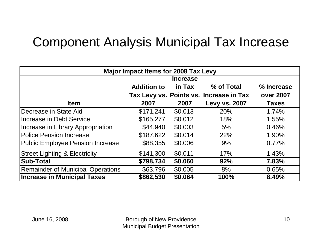#### Component Analysis Municipal Tax Increase

| <b>Major Impact Items for 2008 Tax Levy</b> |                    |         |                                         |                  |  |  |  |
|---------------------------------------------|--------------------|---------|-----------------------------------------|------------------|--|--|--|
|                                             | <b>Increase</b>    |         |                                         |                  |  |  |  |
|                                             | <b>Addition to</b> | in Tax  | % of Total                              | % Increase       |  |  |  |
|                                             |                    |         | Tax Levy vs. Points vs. Increase in Tax | <b>over 2007</b> |  |  |  |
| <b>Item</b>                                 | 2007               | 2007    | <b>Levy vs. 2007</b>                    | <b>Taxes</b>     |  |  |  |
| Decrease in State Aid                       | \$171,241          | \$0.013 | 20%                                     | 1.74%            |  |  |  |
| Increase in Debt Service                    | \$165,277          | \$0.012 | 18%                                     | 1.55%            |  |  |  |
| Increase in Library Appropriation           | \$44,940           | \$0.003 | 5%                                      | 0.46%            |  |  |  |
| <b>IPolice Pension Increase</b>             | \$187,622          | \$0.014 | 22%                                     | 1.90%            |  |  |  |
| <b>Public Employee Pension Increase</b>     | \$88,355           | \$0.006 | 9%                                      | 0.77%            |  |  |  |
| <b>Street Lighting &amp; Electricity</b>    | \$141,300          | \$0.011 | 17%                                     | 1.43%            |  |  |  |
| <b>Sub-Total</b>                            | \$798,734          | \$0.060 | 92%                                     | 7.83%            |  |  |  |
| <b>Remainder of Municipal Operations</b>    | \$63,796           | \$0.005 | 8%                                      | 0.65%            |  |  |  |
| <b>Increase in Municipal Taxes</b>          | \$862,530          | \$0.064 | 100%                                    | 8.49%            |  |  |  |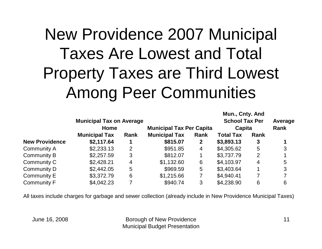## New Providence 2007 Municipal Taxes Are Lowest and Total Property Taxes are Third Lowest Among Peer Communities

| <b>Municipal Tax on Average</b> |      |                                 |              |                  |      | Average                                  |
|---------------------------------|------|---------------------------------|--------------|------------------|------|------------------------------------------|
| Home                            |      | <b>Municipal Tax Per Capita</b> |              | Capita           |      | Rank                                     |
| <b>Municipal Tax</b>            | Rank | <b>Municipal Tax</b>            | Rank         | <b>Total Tax</b> | Rank |                                          |
| \$2,117.64                      |      | \$815.07                        | $\mathbf{2}$ | \$3,893.13       | 3    |                                          |
| \$2,233.13                      | 2    | \$951.85                        | 4            | \$4,305.62       | 5    | 3                                        |
| \$2,257.59                      | 3    | \$812.07                        |              | \$3,737.79       | 2    |                                          |
| \$2,428.21                      | 4    | \$1,132.60                      | 6            | \$4,103.97       | 4    | 5                                        |
| \$2,442.05                      | 5    | \$969.59                        | 5            | \$3,403.64       |      | 3                                        |
| \$3,372.79                      | 6    | \$1,215.66                      |              | \$4,940.41       |      |                                          |
| \$4,042.23                      |      | \$940.74                        | 3            | \$4,238.90       | 6    | 6                                        |
|                                 |      |                                 |              |                  |      | Mun., Cnty. And<br><b>School Tax Per</b> |

All taxes include charges for garbage and sewer collection (already include in New Providence Municipal Taxes)

June 16, 2008 Borough of New Providence Municipal Budget Presentation